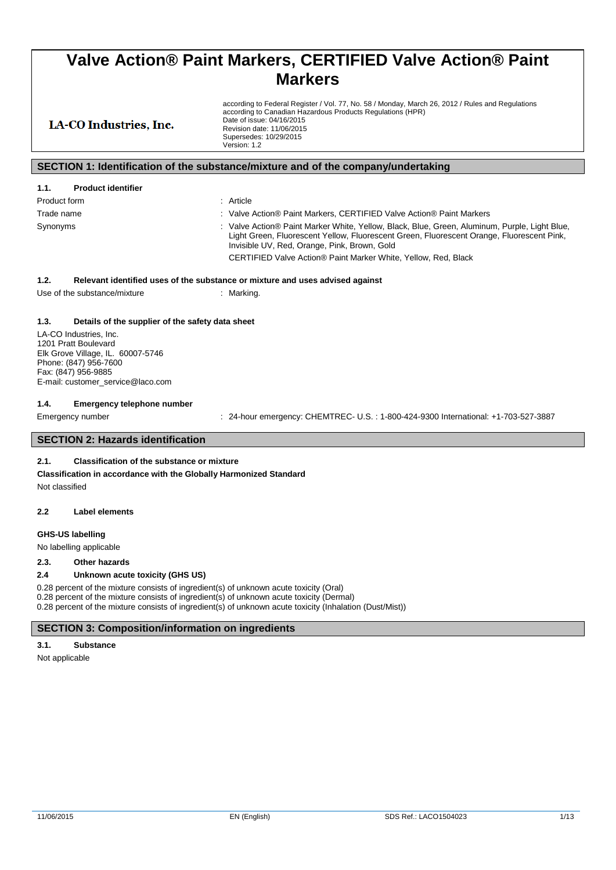according to Federal Register / Vol. 77, No. 58 / Monday, March 26, 2012 / Rules and Regulations according to Canadian Hazardous Products Regulations (HPR) Date of issue: 04/16/2015 Revision date: 11/06/2015 Supersedes: 10/29/2015 Version: 1.2

### LA-CO Industries, Inc.

### **SECTION 1: Identification of the substance/mixture and of the company/undertaking**

| 1.1.<br><b>Product identifier</b> |                                                                                                                                                                                                                                            |
|-----------------------------------|--------------------------------------------------------------------------------------------------------------------------------------------------------------------------------------------------------------------------------------------|
| Product form                      | : Article                                                                                                                                                                                                                                  |
| Trade name                        | : Valve Action® Paint Markers, CERTIFIED Valve Action® Paint Markers                                                                                                                                                                       |
| Synonyms                          | : Valve Action® Paint Marker White, Yellow, Black, Blue, Green, Aluminum, Purple, Light Blue,<br>Light Green, Fluorescent Yellow, Fluorescent Green, Fluorescent Orange, Fluorescent Pink,<br>Invisible UV, Red, Orange, Pink, Brown, Gold |
|                                   | CERTIFIED Valve Action® Paint Marker White, Yellow, Red, Black                                                                                                                                                                             |

### **1.2. Relevant identified uses of the substance or mixture and uses advised against**

Use of the substance/mixture : Marking

#### **1.3. Details of the supplier of the safety data sheet**

LA-CO Industries, Inc. 1201 Pratt Boulevard Elk Grove Village, IL. 60007-5746 Phone: (847) 956-7600 Fax: (847) 956-9885 E-mail: customer\_service@laco.com

#### **1.4. Emergency telephone number**

Emergency number : 24-hour emergency: CHEMTREC- U.S.: 1-800-424-9300 International: +1-703-527-3887

### **SECTION 2: Hazards identification**

### **2.1. Classification of the substance or mixture**

**Classification in accordance with the Globally Harmonized Standard**

Not classified

#### **2.2 Label elements**

### **GHS-US labelling**

No labelling applicable

#### **2.3. Other hazards**

#### **2.4 Unknown acute toxicity (GHS US)**

0.28 percent of the mixture consists of ingredient(s) of unknown acute toxicity (Oral) 0.28 percent of the mixture consists of ingredient(s) of unknown acute toxicity (Dermal) 0.28 percent of the mixture consists of ingredient(s) of unknown acute toxicity (Inhalation (Dust/Mist))

### **SECTION 3: Composition/information on ingredients**

### **3.1. Substance**

Not applicable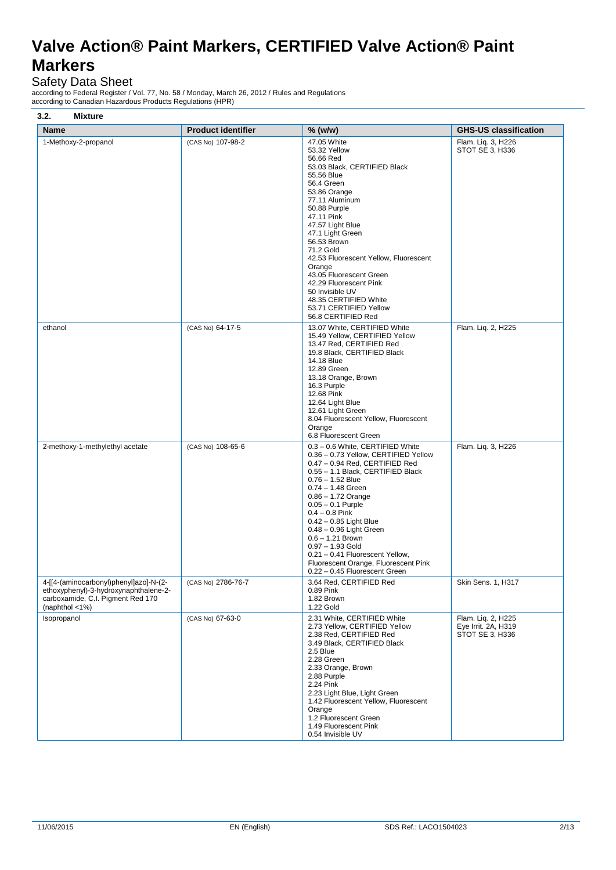$-47.05$  White

# Safety Data Sheet

according to Federal Register / Vol. 77, No. 58 / Monday, March 26, 2012 / Rules and Regulations according to Canadian Hazardous Products Regulations (HPR)

| <b>Mixture</b><br>3.2. |                           |  |
|------------------------|---------------------------|--|
| <b>Name</b>            | <b>Product identifier</b> |  |
| 1-Methoxy-2-propanol   | (CAS No) 107-98-2         |  |

|                                                                                                                                           |                    | 53.32 Yellow<br>56.66 Red<br>53.03 Black, CERTIFIED Black<br>55.56 Blue<br>56.4 Green<br>53.86 Orange<br>77.11 Aluminum<br>50.88 Purple<br>47.11 Pink<br>47.57 Light Blue<br>47.1 Light Green<br>56.53 Brown<br>71.2 Gold<br>42.53 Fluorescent Yellow, Fluorescent<br>Orange<br>43.05 Fluorescent Green<br>42.29 Fluorescent Pink<br>50 Invisible UV<br>48.35 CERTIFIED White<br>53.71 CERTIFIED Yellow<br>56.8 CERTIFIED Red                                                    | STOT SE 3, H336                                              |
|-------------------------------------------------------------------------------------------------------------------------------------------|--------------------|----------------------------------------------------------------------------------------------------------------------------------------------------------------------------------------------------------------------------------------------------------------------------------------------------------------------------------------------------------------------------------------------------------------------------------------------------------------------------------|--------------------------------------------------------------|
| ethanol                                                                                                                                   | (CAS No) 64-17-5   | 13.07 White, CERTIFIED White<br>15.49 Yellow, CERTIFIED Yellow<br>13.47 Red, CERTIFIED Red<br>19.8 Black, CERTIFIED Black<br>14.18 Blue<br>12.89 Green<br>13.18 Orange, Brown<br>16.3 Purple<br>12.68 Pink<br>12.64 Light Blue<br>12.61 Light Green<br>8.04 Fluorescent Yellow, Fluorescent<br>Orange<br>6.8 Fluorescent Green                                                                                                                                                   | Flam. Liq. 2, H225                                           |
| 2-methoxy-1-methylethyl acetate                                                                                                           | (CAS No) 108-65-6  | 0.3 - 0.6 White, CERTIFIED White<br>0.36 - 0.73 Yellow, CERTIFIED Yellow<br>0.47 - 0.94 Red, CERTIFIED Red<br>0.55 - 1.1 Black, CERTIFIED Black<br>$0.76 - 1.52$ Blue<br>$0.74 - 1.48$ Green<br>$0.86 - 1.72$ Orange<br>$0.05 - 0.1$ Purple<br>$0.4 - 0.8$ Pink<br>$0.42 - 0.85$ Light Blue<br>$0.48 - 0.96$ Light Green<br>$0.6 - 1.21$ Brown<br>$0.97 - 1.93$ Gold<br>0.21 - 0.41 Fluorescent Yellow,<br>Fluorescent Orange, Fluorescent Pink<br>0.22 - 0.45 Fluorescent Green | Flam. Lig. 3, H226                                           |
| 4-[[4-(aminocarbonyl)phenyl]azo]-N-(2-<br>ethoxyphenyl)-3-hydroxynaphthalene-2-<br>carboxamide, C.I. Pigment Red 170<br>(naphthol $<$ 1%) | (CAS No) 2786-76-7 | 3.64 Red, CERTIFIED Red<br>0.89 Pink<br>1.82 Brown<br>1.22 Gold                                                                                                                                                                                                                                                                                                                                                                                                                  | Skin Sens. 1, H317                                           |
| Isopropanol                                                                                                                               | (CAS No) 67-63-0   | 2.31 White, CERTIFIED White<br>2.73 Yellow, CERTIFIED Yellow<br>2.38 Red, CERTIFIED Red<br>3.49 Black, CERTIFIED Black<br>2.5 Blue<br>2.28 Green<br>2.33 Orange, Brown<br>2.88 Purple<br>2.24 Pink<br>2.23 Light Blue, Light Green<br>1.42 Fluorescent Yellow, Fluorescent<br>Orange<br>1.2 Fluorescent Green<br>1.49 Fluorescent Pink<br>0.54 Invisible UV                                                                                                                      | Flam. Liq. 2, H225<br>Eye Irrit. 2A, H319<br>STOT SE 3, H336 |

*Name <b>Product is a Product in the CHS-US* classification

Flam. Liq. 3, H226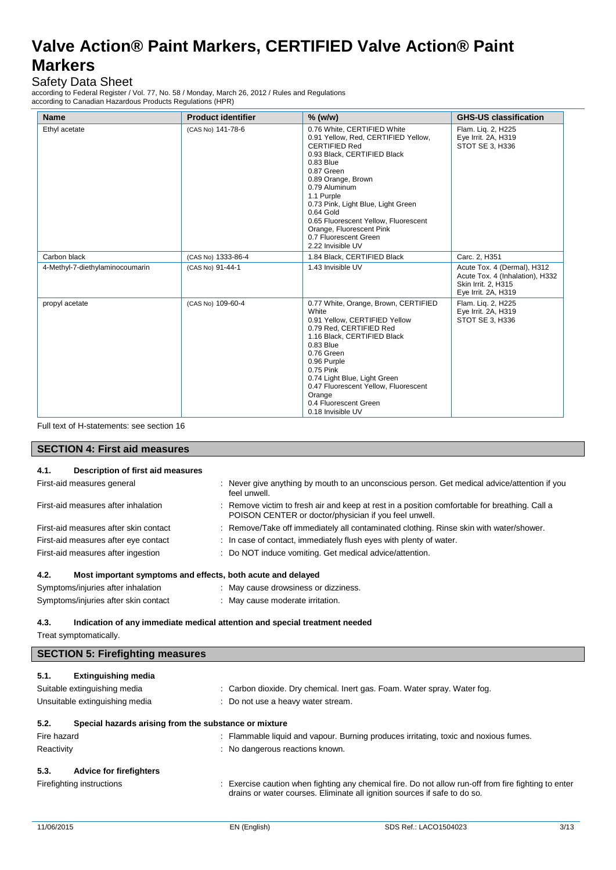### Safety Data Sheet

according to Federal Register / Vol. 77, No. 58 / Monday, March 26, 2012 / Rules and Regulations according to Canadian Hazardous Products Regulations (HPR)

| <b>Name</b>                     | <b>Product identifier</b> | $%$ (w/w)                                                                                                                                                                                                                                                                                                                                                                        | <b>GHS-US classification</b>                                                                                 |
|---------------------------------|---------------------------|----------------------------------------------------------------------------------------------------------------------------------------------------------------------------------------------------------------------------------------------------------------------------------------------------------------------------------------------------------------------------------|--------------------------------------------------------------------------------------------------------------|
| Ethyl acetate                   | (CAS No) 141-78-6         | 0.76 White, CERTIFIED White<br>0.91 Yellow, Red, CERTIFIED Yellow,<br><b>CERTIFIED Red</b><br>0.93 Black, CERTIFIED Black<br>$0.83$ Blue<br>0.87 Green<br>0.89 Orange, Brown<br>0.79 Aluminum<br>1.1 Purple<br>0.73 Pink, Light Blue, Light Green<br>0.64 Gold<br>0.65 Fluorescent Yellow, Fluorescent<br>Orange, Fluorescent Pink<br>0.7 Fluorescent Green<br>2.22 Invisible UV | Flam. Lig. 2, H225<br>Eye Irrit. 2A, H319<br>STOT SE 3, H336                                                 |
| Carbon black                    | (CAS No) 1333-86-4        | 1.84 Black, CERTIFIED Black                                                                                                                                                                                                                                                                                                                                                      | Carc. 2, H351                                                                                                |
| 4-Methyl-7-diethylaminocoumarin | (CAS No) 91-44-1          | 1.43 Invisible UV                                                                                                                                                                                                                                                                                                                                                                | Acute Tox. 4 (Dermal), H312<br>Acute Tox. 4 (Inhalation), H332<br>Skin Irrit. 2, H315<br>Eye Irrit. 2A, H319 |
| propyl acetate                  | (CAS No) 109-60-4         | 0.77 White, Orange, Brown, CERTIFIED<br>White<br>0.91 Yellow, CERTIFIED Yellow<br>0.79 Red, CERTIFIED Red<br>1.16 Black, CERTIFIED Black<br>$0.83$ Blue<br>0.76 Green<br>0.96 Purple<br>0.75 Pink<br>0.74 Light Blue, Light Green<br>0.47 Fluorescent Yellow, Fluorescent<br>Orange<br>0.4 Fluorescent Green<br>0.18 Invisible UV                                                | Flam. Lig. 2, H225<br>Eye Irrit. 2A, H319<br>STOT SE 3. H336                                                 |

Full text of H-statements: see section 16

### **SECTION 4: First aid measures**

| 4.1.                                                                                                         | Description of first aid measures                           |  |                                                                                                                                                        |
|--------------------------------------------------------------------------------------------------------------|-------------------------------------------------------------|--|--------------------------------------------------------------------------------------------------------------------------------------------------------|
|                                                                                                              | First-aid measures general                                  |  | : Never give anything by mouth to an unconscious person. Get medical advice/attention if you<br>feel unwell.                                           |
|                                                                                                              | First-aid measures after inhalation                         |  | : Remove victim to fresh air and keep at rest in a position comfortable for breathing. Call a<br>POISON CENTER or doctor/physician if you feel unwell. |
|                                                                                                              | First-aid measures after skin contact                       |  | : Remove/Take off immediately all contaminated clothing. Rinse skin with water/shower.                                                                 |
|                                                                                                              | First-aid measures after eye contact                        |  | : In case of contact, immediately flush eyes with plenty of water.                                                                                     |
|                                                                                                              | First-aid measures after ingestion                          |  | : Do NOT induce vomiting. Get medical advice/attention.                                                                                                |
| 4.2.                                                                                                         | Most important symptoms and effects, both acute and delayed |  |                                                                                                                                                        |
|                                                                                                              | Symptoms/injuries after inhalation                          |  | : May cause drowsiness or dizziness.                                                                                                                   |
|                                                                                                              | Symptoms/injuries after skin contact                        |  | : May cause moderate irritation.                                                                                                                       |
| 4.3.<br>Indication of any immediate medical attention and special treatment needed<br>Treat symptomatically. |                                                             |  |                                                                                                                                                        |
|                                                                                                              | <b>SECTION 5: Firefighting measures</b>                     |  |                                                                                                                                                        |
| 5.1.                                                                                                         | <b>Extinguishing media</b>                                  |  |                                                                                                                                                        |
|                                                                                                              | Suitable extinguishing media                                |  | : Carbon dioxide. Dry chemical. Inert gas. Foam. Water spray. Water fog.                                                                               |
|                                                                                                              | Unsuitable extinguishing media                              |  | : Do not use a heavy water stream.                                                                                                                     |
|                                                                                                              |                                                             |  |                                                                                                                                                        |
| 5.2.                                                                                                         | Special hazards arising from the substance or mixture       |  |                                                                                                                                                        |
| Fire hazard                                                                                                  |                                                             |  | : Flammable liquid and vapour. Burning produces irritating, toxic and noxious fumes.                                                                   |
| Reactivity                                                                                                   |                                                             |  | : No dangerous reactions known.                                                                                                                        |
| 5.3.                                                                                                         | <b>Advice for firefighters</b>                              |  |                                                                                                                                                        |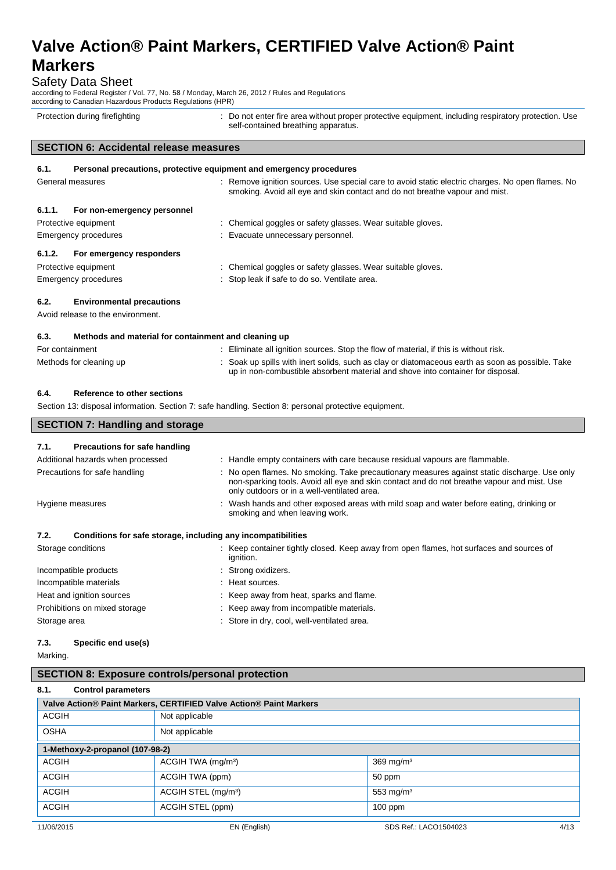Safety Data Sheet

according to Federal Register / Vol. 77, No. 58 / Monday, March 26, 2012 / Rules and Regulations according to Canadian Hazardous Products Regulations (HPR)

Protection during firefighting  $\blacksquare$ : Do not enter fire area without proper protective equipment, including respiratory protection. Use self-contained breathing apparatus.

### **SECTION 6: Accidental release measures**

| 6.1.                 | Personal precautions, protective equipment and emergency procedures |  |                                                                                                                                                                                 |  |  |
|----------------------|---------------------------------------------------------------------|--|---------------------------------------------------------------------------------------------------------------------------------------------------------------------------------|--|--|
| General measures     |                                                                     |  | : Remove ignition sources. Use special care to avoid static electric charges. No open flames. No<br>smoking. Avoid all eye and skin contact and do not breathe vapour and mist. |  |  |
| 6.1.1.               | For non-emergency personnel                                         |  |                                                                                                                                                                                 |  |  |
|                      | Protective equipment                                                |  | : Chemical goggles or safety glasses. Wear suitable gloves.                                                                                                                     |  |  |
| Emergency procedures |                                                                     |  | : Evacuate unnecessary personnel.                                                                                                                                               |  |  |
| 6.1.2.               | For emergency responders                                            |  |                                                                                                                                                                                 |  |  |
|                      | Protective equipment                                                |  | : Chemical goggles or safety glasses. Wear suitable gloves.                                                                                                                     |  |  |
| Emergency procedures |                                                                     |  | : Stop leak if safe to do so. Ventilate area.                                                                                                                                   |  |  |
| 6.2.                 | <b>Environmental precautions</b>                                    |  |                                                                                                                                                                                 |  |  |
|                      | Avoid release to the environment.                                   |  |                                                                                                                                                                                 |  |  |

### **6.3. Methods and material for containment and cleaning up**

| For containment         | : Eliminate all ignition sources. Stop the flow of material, if this is without risk.                                                                                               |
|-------------------------|-------------------------------------------------------------------------------------------------------------------------------------------------------------------------------------|
| Methods for cleaning up | : Soak up spills with inert solids, such as clay or diatomaceous earth as soon as possible. Take<br>up in non-combustible absorbent material and shove into container for disposal. |

### **6.4. Reference to other sections**

**SECTION 7: Handling and storage**

Section 13: disposal information. Section 7: safe handling. Section 8: personal protective equipment.

| 7.1.         | <b>Precautions for safe handling</b>                         |                                                                                                                                                                                                                                           |
|--------------|--------------------------------------------------------------|-------------------------------------------------------------------------------------------------------------------------------------------------------------------------------------------------------------------------------------------|
|              | Additional hazards when processed                            | : Handle empty containers with care because residual vapours are flammable.                                                                                                                                                               |
|              | Precautions for safe handling                                | : No open flames. No smoking. Take precautionary measures against static discharge. Use only<br>non-sparking tools. Avoid all eye and skin contact and do not breathe vapour and mist. Use<br>only outdoors or in a well-ventilated area. |
|              | Hygiene measures                                             | : Wash hands and other exposed areas with mild soap and water before eating, drinking or<br>smoking and when leaving work.                                                                                                                |
| 7.2.         | Conditions for safe storage, including any incompatibilities |                                                                                                                                                                                                                                           |
|              | Storage conditions                                           | : Keep container tightly closed. Keep away from open flames, hot surfaces and sources of<br>ignition.                                                                                                                                     |
|              | Incompatible products                                        | : Strong oxidizers.                                                                                                                                                                                                                       |
|              | Incompatible materials                                       | : Heat sources.                                                                                                                                                                                                                           |
|              | Heat and ignition sources                                    | : Keep away from heat, sparks and flame.                                                                                                                                                                                                  |
|              | Prohibitions on mixed storage                                | : Keep away from incompatible materials.                                                                                                                                                                                                  |
| Storage area |                                                              | : Store in dry, cool, well-ventilated area.                                                                                                                                                                                               |

### **7.3. Specific end use(s)**

Marking.

### **8.1. Control parameters**

| Valve Action® Paint Markers, CERTIFIED Valve Action® Paint Markers |                                 |                               |  |
|--------------------------------------------------------------------|---------------------------------|-------------------------------|--|
| ACGIH                                                              | Not applicable                  |                               |  |
| <b>OSHA</b>                                                        | Not applicable                  |                               |  |
| 1-Methoxy-2-propanol (107-98-2)                                    |                                 |                               |  |
| ACGIH                                                              | ACGIH TWA (mg/m <sup>3</sup> )  | $369$ mg/m <sup>3</sup>       |  |
| <b>ACGIH</b>                                                       | ACGIH TWA (ppm)<br>50 ppm       |                               |  |
| ACGIH                                                              | ACGIH STEL (mg/m <sup>3</sup> ) | 553 mg/m $3$                  |  |
| ACGIH                                                              | ACGIH STEL (ppm)                | $100$ ppm                     |  |
| 11/06/2015                                                         | EN (English)                    | 4/13<br>SDS Ref.: LACO1504023 |  |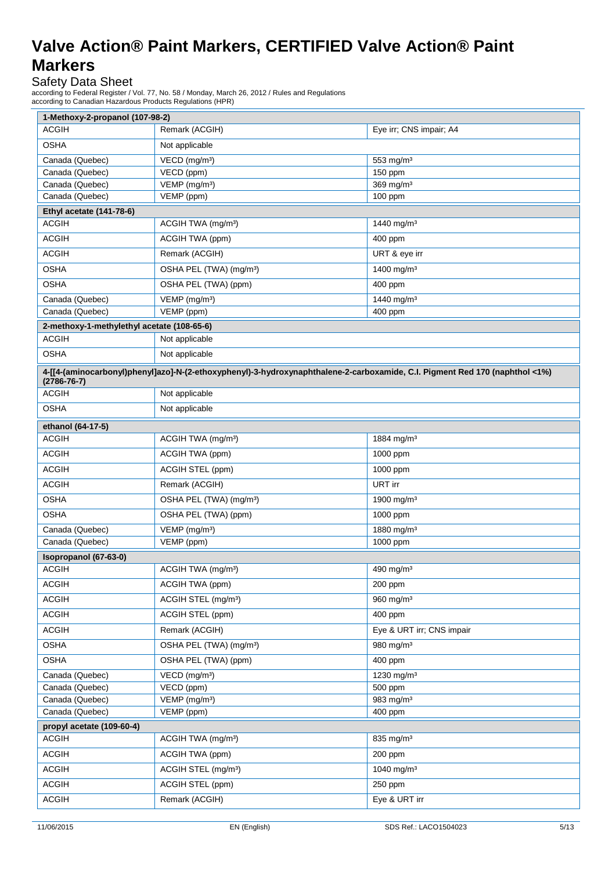Safety Data Sheet

according to Federal Register / Vol. 77, No. 58 / Monday, March 26, 2012 / Rules and Regulations according to Canadian Hazardous Products Regulations (HPR)

| <b>ACGIH</b><br>Eye irr; CNS impair; A4<br><b>OSHA</b><br>Not applicable<br>Canada (Quebec)<br>VECD (mg/m <sup>3</sup> )<br>553 mg/m <sup>3</sup><br>Canada (Quebec)<br>VECD (ppm)<br>150 ppm<br>369 mg/m <sup>3</sup><br>Canada (Quebec)<br>VEMP (mg/m <sup>3</sup> )<br>Canada (Quebec)<br>VEMP (ppm)<br>100 ppm<br>Ethyl acetate (141-78-6)<br><b>ACGIH</b><br>1440 mg/m <sup>3</sup><br>ACGIH TWA (mg/m <sup>3</sup> )<br><b>ACGIH</b><br>ACGIH TWA (ppm)<br>400 ppm<br><b>ACGIH</b><br>URT & eye irr<br>Remark (ACGIH)<br><b>OSHA</b><br>OSHA PEL (TWA) (mg/m <sup>3</sup> )<br>1400 mg/m <sup>3</sup><br><b>OSHA</b><br>OSHA PEL (TWA) (ppm)<br>400 ppm<br>Canada (Quebec)<br>VEMP (mg/m <sup>3</sup> )<br>1440 mg/m <sup>3</sup><br>VEMP (ppm)<br>Canada (Quebec)<br>400 ppm<br>2-methoxy-1-methylethyl acetate (108-65-6)<br><b>ACGIH</b><br>Not applicable<br><b>OSHA</b><br>Not applicable<br>4-[[4-(aminocarbonyl)phenyl]azo]-N-(2-ethoxyphenyl)-3-hydroxynaphthalene-2-carboxamide, C.I. Pigment Red 170 (naphthol <1%)<br>$(2786 - 76 - 7)$<br><b>ACGIH</b><br>Not applicable<br><b>OSHA</b><br>Not applicable<br>ethanol (64-17-5)<br><b>ACGIH</b><br>ACGIH TWA (mg/m <sup>3</sup> )<br>1884 mg/m <sup>3</sup><br><b>ACGIH</b><br>ACGIH TWA (ppm)<br>1000 ppm<br><b>ACGIH</b><br>ACGIH STEL (ppm)<br>1000 ppm<br><b>ACGIH</b><br>URT irr<br>Remark (ACGIH)<br><b>OSHA</b><br>OSHA PEL (TWA) (mg/m <sup>3</sup> )<br>1900 mg/m <sup>3</sup><br><b>OSHA</b><br>OSHA PEL (TWA) (ppm)<br>1000 ppm<br>VEMP (mg/m <sup>3</sup> )<br>1880 mg/m <sup>3</sup><br>Canada (Quebec)<br>Canada (Quebec)<br>VEMP (ppm)<br>1000 ppm<br>Isopropanol (67-63-0)<br><b>ACGIH</b><br>ACGIH TWA (mg/m <sup>3</sup> )<br>490 mg/m <sup>3</sup><br><b>ACGIH</b><br>ACGIH TWA (ppm)<br>200 ppm<br><b>ACGIH</b><br>ACGIH STEL (mg/m <sup>3</sup> )<br>960 mg/m <sup>3</sup><br><b>ACGIH</b><br>ACGIH STEL (ppm)<br>400 ppm<br><b>ACGIH</b><br>Remark (ACGIH)<br>Eye & URT irr; CNS impair<br><b>OSHA</b><br>OSHA PEL (TWA) (mg/m <sup>3</sup> )<br>980 mg/m <sup>3</sup><br><b>OSHA</b><br>OSHA PEL (TWA) (ppm)<br>400 ppm<br>1230 mg/m <sup>3</sup><br>Canada (Quebec)<br>$VECD$ (mg/m <sup>3</sup> )<br>VECD (ppm)<br>Canada (Quebec)<br>500 ppm<br>VEMP (mg/m <sup>3</sup> )<br>983 mg/m <sup>3</sup><br>Canada (Quebec)<br>Canada (Quebec)<br>VEMP (ppm)<br>400 ppm<br>propyl acetate (109-60-4)<br><b>ACGIH</b><br>ACGIH TWA (mg/m <sup>3</sup> )<br>835 mg/m <sup>3</sup><br><b>ACGIH</b><br>ACGIH TWA (ppm)<br>200 ppm<br><b>ACGIH</b><br>ACGIH STEL (mg/m <sup>3</sup> )<br>1040 mg/m <sup>3</sup><br><b>ACGIH</b><br>ACGIH STEL (ppm)<br>250 ppm<br><b>ACGIH</b><br>Eye & URT irr<br>Remark (ACGIH) | 1-Methoxy-2-propanol (107-98-2) |                |  |
|---------------------------------------------------------------------------------------------------------------------------------------------------------------------------------------------------------------------------------------------------------------------------------------------------------------------------------------------------------------------------------------------------------------------------------------------------------------------------------------------------------------------------------------------------------------------------------------------------------------------------------------------------------------------------------------------------------------------------------------------------------------------------------------------------------------------------------------------------------------------------------------------------------------------------------------------------------------------------------------------------------------------------------------------------------------------------------------------------------------------------------------------------------------------------------------------------------------------------------------------------------------------------------------------------------------------------------------------------------------------------------------------------------------------------------------------------------------------------------------------------------------------------------------------------------------------------------------------------------------------------------------------------------------------------------------------------------------------------------------------------------------------------------------------------------------------------------------------------------------------------------------------------------------------------------------------------------------------------------------------------------------------------------------------------------------------------------------------------------------------------------------------------------------------------------------------------------------------------------------------------------------------------------------------------------------------------------------------------------------------------------------------------------------------------------------------------------------------------------------------------------------------------------------------------------------------------------------------------------------------------------------------------------------------------------------------------|---------------------------------|----------------|--|
|                                                                                                                                                                                                                                                                                                                                                                                                                                                                                                                                                                                                                                                                                                                                                                                                                                                                                                                                                                                                                                                                                                                                                                                                                                                                                                                                                                                                                                                                                                                                                                                                                                                                                                                                                                                                                                                                                                                                                                                                                                                                                                                                                                                                                                                                                                                                                                                                                                                                                                                                                                                                                                                                                                   |                                 | Remark (ACGIH) |  |
|                                                                                                                                                                                                                                                                                                                                                                                                                                                                                                                                                                                                                                                                                                                                                                                                                                                                                                                                                                                                                                                                                                                                                                                                                                                                                                                                                                                                                                                                                                                                                                                                                                                                                                                                                                                                                                                                                                                                                                                                                                                                                                                                                                                                                                                                                                                                                                                                                                                                                                                                                                                                                                                                                                   |                                 |                |  |
|                                                                                                                                                                                                                                                                                                                                                                                                                                                                                                                                                                                                                                                                                                                                                                                                                                                                                                                                                                                                                                                                                                                                                                                                                                                                                                                                                                                                                                                                                                                                                                                                                                                                                                                                                                                                                                                                                                                                                                                                                                                                                                                                                                                                                                                                                                                                                                                                                                                                                                                                                                                                                                                                                                   |                                 |                |  |
|                                                                                                                                                                                                                                                                                                                                                                                                                                                                                                                                                                                                                                                                                                                                                                                                                                                                                                                                                                                                                                                                                                                                                                                                                                                                                                                                                                                                                                                                                                                                                                                                                                                                                                                                                                                                                                                                                                                                                                                                                                                                                                                                                                                                                                                                                                                                                                                                                                                                                                                                                                                                                                                                                                   |                                 |                |  |
|                                                                                                                                                                                                                                                                                                                                                                                                                                                                                                                                                                                                                                                                                                                                                                                                                                                                                                                                                                                                                                                                                                                                                                                                                                                                                                                                                                                                                                                                                                                                                                                                                                                                                                                                                                                                                                                                                                                                                                                                                                                                                                                                                                                                                                                                                                                                                                                                                                                                                                                                                                                                                                                                                                   |                                 |                |  |
|                                                                                                                                                                                                                                                                                                                                                                                                                                                                                                                                                                                                                                                                                                                                                                                                                                                                                                                                                                                                                                                                                                                                                                                                                                                                                                                                                                                                                                                                                                                                                                                                                                                                                                                                                                                                                                                                                                                                                                                                                                                                                                                                                                                                                                                                                                                                                                                                                                                                                                                                                                                                                                                                                                   |                                 |                |  |
|                                                                                                                                                                                                                                                                                                                                                                                                                                                                                                                                                                                                                                                                                                                                                                                                                                                                                                                                                                                                                                                                                                                                                                                                                                                                                                                                                                                                                                                                                                                                                                                                                                                                                                                                                                                                                                                                                                                                                                                                                                                                                                                                                                                                                                                                                                                                                                                                                                                                                                                                                                                                                                                                                                   |                                 |                |  |
|                                                                                                                                                                                                                                                                                                                                                                                                                                                                                                                                                                                                                                                                                                                                                                                                                                                                                                                                                                                                                                                                                                                                                                                                                                                                                                                                                                                                                                                                                                                                                                                                                                                                                                                                                                                                                                                                                                                                                                                                                                                                                                                                                                                                                                                                                                                                                                                                                                                                                                                                                                                                                                                                                                   |                                 |                |  |
|                                                                                                                                                                                                                                                                                                                                                                                                                                                                                                                                                                                                                                                                                                                                                                                                                                                                                                                                                                                                                                                                                                                                                                                                                                                                                                                                                                                                                                                                                                                                                                                                                                                                                                                                                                                                                                                                                                                                                                                                                                                                                                                                                                                                                                                                                                                                                                                                                                                                                                                                                                                                                                                                                                   |                                 |                |  |
|                                                                                                                                                                                                                                                                                                                                                                                                                                                                                                                                                                                                                                                                                                                                                                                                                                                                                                                                                                                                                                                                                                                                                                                                                                                                                                                                                                                                                                                                                                                                                                                                                                                                                                                                                                                                                                                                                                                                                                                                                                                                                                                                                                                                                                                                                                                                                                                                                                                                                                                                                                                                                                                                                                   |                                 |                |  |
|                                                                                                                                                                                                                                                                                                                                                                                                                                                                                                                                                                                                                                                                                                                                                                                                                                                                                                                                                                                                                                                                                                                                                                                                                                                                                                                                                                                                                                                                                                                                                                                                                                                                                                                                                                                                                                                                                                                                                                                                                                                                                                                                                                                                                                                                                                                                                                                                                                                                                                                                                                                                                                                                                                   |                                 |                |  |
|                                                                                                                                                                                                                                                                                                                                                                                                                                                                                                                                                                                                                                                                                                                                                                                                                                                                                                                                                                                                                                                                                                                                                                                                                                                                                                                                                                                                                                                                                                                                                                                                                                                                                                                                                                                                                                                                                                                                                                                                                                                                                                                                                                                                                                                                                                                                                                                                                                                                                                                                                                                                                                                                                                   |                                 |                |  |
|                                                                                                                                                                                                                                                                                                                                                                                                                                                                                                                                                                                                                                                                                                                                                                                                                                                                                                                                                                                                                                                                                                                                                                                                                                                                                                                                                                                                                                                                                                                                                                                                                                                                                                                                                                                                                                                                                                                                                                                                                                                                                                                                                                                                                                                                                                                                                                                                                                                                                                                                                                                                                                                                                                   |                                 |                |  |
|                                                                                                                                                                                                                                                                                                                                                                                                                                                                                                                                                                                                                                                                                                                                                                                                                                                                                                                                                                                                                                                                                                                                                                                                                                                                                                                                                                                                                                                                                                                                                                                                                                                                                                                                                                                                                                                                                                                                                                                                                                                                                                                                                                                                                                                                                                                                                                                                                                                                                                                                                                                                                                                                                                   |                                 |                |  |
|                                                                                                                                                                                                                                                                                                                                                                                                                                                                                                                                                                                                                                                                                                                                                                                                                                                                                                                                                                                                                                                                                                                                                                                                                                                                                                                                                                                                                                                                                                                                                                                                                                                                                                                                                                                                                                                                                                                                                                                                                                                                                                                                                                                                                                                                                                                                                                                                                                                                                                                                                                                                                                                                                                   |                                 |                |  |
|                                                                                                                                                                                                                                                                                                                                                                                                                                                                                                                                                                                                                                                                                                                                                                                                                                                                                                                                                                                                                                                                                                                                                                                                                                                                                                                                                                                                                                                                                                                                                                                                                                                                                                                                                                                                                                                                                                                                                                                                                                                                                                                                                                                                                                                                                                                                                                                                                                                                                                                                                                                                                                                                                                   |                                 |                |  |
|                                                                                                                                                                                                                                                                                                                                                                                                                                                                                                                                                                                                                                                                                                                                                                                                                                                                                                                                                                                                                                                                                                                                                                                                                                                                                                                                                                                                                                                                                                                                                                                                                                                                                                                                                                                                                                                                                                                                                                                                                                                                                                                                                                                                                                                                                                                                                                                                                                                                                                                                                                                                                                                                                                   |                                 |                |  |
|                                                                                                                                                                                                                                                                                                                                                                                                                                                                                                                                                                                                                                                                                                                                                                                                                                                                                                                                                                                                                                                                                                                                                                                                                                                                                                                                                                                                                                                                                                                                                                                                                                                                                                                                                                                                                                                                                                                                                                                                                                                                                                                                                                                                                                                                                                                                                                                                                                                                                                                                                                                                                                                                                                   |                                 |                |  |
|                                                                                                                                                                                                                                                                                                                                                                                                                                                                                                                                                                                                                                                                                                                                                                                                                                                                                                                                                                                                                                                                                                                                                                                                                                                                                                                                                                                                                                                                                                                                                                                                                                                                                                                                                                                                                                                                                                                                                                                                                                                                                                                                                                                                                                                                                                                                                                                                                                                                                                                                                                                                                                                                                                   |                                 |                |  |
|                                                                                                                                                                                                                                                                                                                                                                                                                                                                                                                                                                                                                                                                                                                                                                                                                                                                                                                                                                                                                                                                                                                                                                                                                                                                                                                                                                                                                                                                                                                                                                                                                                                                                                                                                                                                                                                                                                                                                                                                                                                                                                                                                                                                                                                                                                                                                                                                                                                                                                                                                                                                                                                                                                   |                                 |                |  |
|                                                                                                                                                                                                                                                                                                                                                                                                                                                                                                                                                                                                                                                                                                                                                                                                                                                                                                                                                                                                                                                                                                                                                                                                                                                                                                                                                                                                                                                                                                                                                                                                                                                                                                                                                                                                                                                                                                                                                                                                                                                                                                                                                                                                                                                                                                                                                                                                                                                                                                                                                                                                                                                                                                   |                                 |                |  |
|                                                                                                                                                                                                                                                                                                                                                                                                                                                                                                                                                                                                                                                                                                                                                                                                                                                                                                                                                                                                                                                                                                                                                                                                                                                                                                                                                                                                                                                                                                                                                                                                                                                                                                                                                                                                                                                                                                                                                                                                                                                                                                                                                                                                                                                                                                                                                                                                                                                                                                                                                                                                                                                                                                   |                                 |                |  |
|                                                                                                                                                                                                                                                                                                                                                                                                                                                                                                                                                                                                                                                                                                                                                                                                                                                                                                                                                                                                                                                                                                                                                                                                                                                                                                                                                                                                                                                                                                                                                                                                                                                                                                                                                                                                                                                                                                                                                                                                                                                                                                                                                                                                                                                                                                                                                                                                                                                                                                                                                                                                                                                                                                   |                                 |                |  |
|                                                                                                                                                                                                                                                                                                                                                                                                                                                                                                                                                                                                                                                                                                                                                                                                                                                                                                                                                                                                                                                                                                                                                                                                                                                                                                                                                                                                                                                                                                                                                                                                                                                                                                                                                                                                                                                                                                                                                                                                                                                                                                                                                                                                                                                                                                                                                                                                                                                                                                                                                                                                                                                                                                   |                                 |                |  |
|                                                                                                                                                                                                                                                                                                                                                                                                                                                                                                                                                                                                                                                                                                                                                                                                                                                                                                                                                                                                                                                                                                                                                                                                                                                                                                                                                                                                                                                                                                                                                                                                                                                                                                                                                                                                                                                                                                                                                                                                                                                                                                                                                                                                                                                                                                                                                                                                                                                                                                                                                                                                                                                                                                   |                                 |                |  |
|                                                                                                                                                                                                                                                                                                                                                                                                                                                                                                                                                                                                                                                                                                                                                                                                                                                                                                                                                                                                                                                                                                                                                                                                                                                                                                                                                                                                                                                                                                                                                                                                                                                                                                                                                                                                                                                                                                                                                                                                                                                                                                                                                                                                                                                                                                                                                                                                                                                                                                                                                                                                                                                                                                   |                                 |                |  |
|                                                                                                                                                                                                                                                                                                                                                                                                                                                                                                                                                                                                                                                                                                                                                                                                                                                                                                                                                                                                                                                                                                                                                                                                                                                                                                                                                                                                                                                                                                                                                                                                                                                                                                                                                                                                                                                                                                                                                                                                                                                                                                                                                                                                                                                                                                                                                                                                                                                                                                                                                                                                                                                                                                   |                                 |                |  |
|                                                                                                                                                                                                                                                                                                                                                                                                                                                                                                                                                                                                                                                                                                                                                                                                                                                                                                                                                                                                                                                                                                                                                                                                                                                                                                                                                                                                                                                                                                                                                                                                                                                                                                                                                                                                                                                                                                                                                                                                                                                                                                                                                                                                                                                                                                                                                                                                                                                                                                                                                                                                                                                                                                   |                                 |                |  |
|                                                                                                                                                                                                                                                                                                                                                                                                                                                                                                                                                                                                                                                                                                                                                                                                                                                                                                                                                                                                                                                                                                                                                                                                                                                                                                                                                                                                                                                                                                                                                                                                                                                                                                                                                                                                                                                                                                                                                                                                                                                                                                                                                                                                                                                                                                                                                                                                                                                                                                                                                                                                                                                                                                   |                                 |                |  |
|                                                                                                                                                                                                                                                                                                                                                                                                                                                                                                                                                                                                                                                                                                                                                                                                                                                                                                                                                                                                                                                                                                                                                                                                                                                                                                                                                                                                                                                                                                                                                                                                                                                                                                                                                                                                                                                                                                                                                                                                                                                                                                                                                                                                                                                                                                                                                                                                                                                                                                                                                                                                                                                                                                   |                                 |                |  |
|                                                                                                                                                                                                                                                                                                                                                                                                                                                                                                                                                                                                                                                                                                                                                                                                                                                                                                                                                                                                                                                                                                                                                                                                                                                                                                                                                                                                                                                                                                                                                                                                                                                                                                                                                                                                                                                                                                                                                                                                                                                                                                                                                                                                                                                                                                                                                                                                                                                                                                                                                                                                                                                                                                   |                                 |                |  |
|                                                                                                                                                                                                                                                                                                                                                                                                                                                                                                                                                                                                                                                                                                                                                                                                                                                                                                                                                                                                                                                                                                                                                                                                                                                                                                                                                                                                                                                                                                                                                                                                                                                                                                                                                                                                                                                                                                                                                                                                                                                                                                                                                                                                                                                                                                                                                                                                                                                                                                                                                                                                                                                                                                   |                                 |                |  |
|                                                                                                                                                                                                                                                                                                                                                                                                                                                                                                                                                                                                                                                                                                                                                                                                                                                                                                                                                                                                                                                                                                                                                                                                                                                                                                                                                                                                                                                                                                                                                                                                                                                                                                                                                                                                                                                                                                                                                                                                                                                                                                                                                                                                                                                                                                                                                                                                                                                                                                                                                                                                                                                                                                   |                                 |                |  |
|                                                                                                                                                                                                                                                                                                                                                                                                                                                                                                                                                                                                                                                                                                                                                                                                                                                                                                                                                                                                                                                                                                                                                                                                                                                                                                                                                                                                                                                                                                                                                                                                                                                                                                                                                                                                                                                                                                                                                                                                                                                                                                                                                                                                                                                                                                                                                                                                                                                                                                                                                                                                                                                                                                   |                                 |                |  |
|                                                                                                                                                                                                                                                                                                                                                                                                                                                                                                                                                                                                                                                                                                                                                                                                                                                                                                                                                                                                                                                                                                                                                                                                                                                                                                                                                                                                                                                                                                                                                                                                                                                                                                                                                                                                                                                                                                                                                                                                                                                                                                                                                                                                                                                                                                                                                                                                                                                                                                                                                                                                                                                                                                   |                                 |                |  |
|                                                                                                                                                                                                                                                                                                                                                                                                                                                                                                                                                                                                                                                                                                                                                                                                                                                                                                                                                                                                                                                                                                                                                                                                                                                                                                                                                                                                                                                                                                                                                                                                                                                                                                                                                                                                                                                                                                                                                                                                                                                                                                                                                                                                                                                                                                                                                                                                                                                                                                                                                                                                                                                                                                   |                                 |                |  |
|                                                                                                                                                                                                                                                                                                                                                                                                                                                                                                                                                                                                                                                                                                                                                                                                                                                                                                                                                                                                                                                                                                                                                                                                                                                                                                                                                                                                                                                                                                                                                                                                                                                                                                                                                                                                                                                                                                                                                                                                                                                                                                                                                                                                                                                                                                                                                                                                                                                                                                                                                                                                                                                                                                   |                                 |                |  |
|                                                                                                                                                                                                                                                                                                                                                                                                                                                                                                                                                                                                                                                                                                                                                                                                                                                                                                                                                                                                                                                                                                                                                                                                                                                                                                                                                                                                                                                                                                                                                                                                                                                                                                                                                                                                                                                                                                                                                                                                                                                                                                                                                                                                                                                                                                                                                                                                                                                                                                                                                                                                                                                                                                   |                                 |                |  |
|                                                                                                                                                                                                                                                                                                                                                                                                                                                                                                                                                                                                                                                                                                                                                                                                                                                                                                                                                                                                                                                                                                                                                                                                                                                                                                                                                                                                                                                                                                                                                                                                                                                                                                                                                                                                                                                                                                                                                                                                                                                                                                                                                                                                                                                                                                                                                                                                                                                                                                                                                                                                                                                                                                   |                                 |                |  |
|                                                                                                                                                                                                                                                                                                                                                                                                                                                                                                                                                                                                                                                                                                                                                                                                                                                                                                                                                                                                                                                                                                                                                                                                                                                                                                                                                                                                                                                                                                                                                                                                                                                                                                                                                                                                                                                                                                                                                                                                                                                                                                                                                                                                                                                                                                                                                                                                                                                                                                                                                                                                                                                                                                   |                                 |                |  |
|                                                                                                                                                                                                                                                                                                                                                                                                                                                                                                                                                                                                                                                                                                                                                                                                                                                                                                                                                                                                                                                                                                                                                                                                                                                                                                                                                                                                                                                                                                                                                                                                                                                                                                                                                                                                                                                                                                                                                                                                                                                                                                                                                                                                                                                                                                                                                                                                                                                                                                                                                                                                                                                                                                   |                                 |                |  |
|                                                                                                                                                                                                                                                                                                                                                                                                                                                                                                                                                                                                                                                                                                                                                                                                                                                                                                                                                                                                                                                                                                                                                                                                                                                                                                                                                                                                                                                                                                                                                                                                                                                                                                                                                                                                                                                                                                                                                                                                                                                                                                                                                                                                                                                                                                                                                                                                                                                                                                                                                                                                                                                                                                   |                                 |                |  |
|                                                                                                                                                                                                                                                                                                                                                                                                                                                                                                                                                                                                                                                                                                                                                                                                                                                                                                                                                                                                                                                                                                                                                                                                                                                                                                                                                                                                                                                                                                                                                                                                                                                                                                                                                                                                                                                                                                                                                                                                                                                                                                                                                                                                                                                                                                                                                                                                                                                                                                                                                                                                                                                                                                   |                                 |                |  |
|                                                                                                                                                                                                                                                                                                                                                                                                                                                                                                                                                                                                                                                                                                                                                                                                                                                                                                                                                                                                                                                                                                                                                                                                                                                                                                                                                                                                                                                                                                                                                                                                                                                                                                                                                                                                                                                                                                                                                                                                                                                                                                                                                                                                                                                                                                                                                                                                                                                                                                                                                                                                                                                                                                   |                                 |                |  |
|                                                                                                                                                                                                                                                                                                                                                                                                                                                                                                                                                                                                                                                                                                                                                                                                                                                                                                                                                                                                                                                                                                                                                                                                                                                                                                                                                                                                                                                                                                                                                                                                                                                                                                                                                                                                                                                                                                                                                                                                                                                                                                                                                                                                                                                                                                                                                                                                                                                                                                                                                                                                                                                                                                   |                                 |                |  |
|                                                                                                                                                                                                                                                                                                                                                                                                                                                                                                                                                                                                                                                                                                                                                                                                                                                                                                                                                                                                                                                                                                                                                                                                                                                                                                                                                                                                                                                                                                                                                                                                                                                                                                                                                                                                                                                                                                                                                                                                                                                                                                                                                                                                                                                                                                                                                                                                                                                                                                                                                                                                                                                                                                   |                                 |                |  |
|                                                                                                                                                                                                                                                                                                                                                                                                                                                                                                                                                                                                                                                                                                                                                                                                                                                                                                                                                                                                                                                                                                                                                                                                                                                                                                                                                                                                                                                                                                                                                                                                                                                                                                                                                                                                                                                                                                                                                                                                                                                                                                                                                                                                                                                                                                                                                                                                                                                                                                                                                                                                                                                                                                   |                                 |                |  |
|                                                                                                                                                                                                                                                                                                                                                                                                                                                                                                                                                                                                                                                                                                                                                                                                                                                                                                                                                                                                                                                                                                                                                                                                                                                                                                                                                                                                                                                                                                                                                                                                                                                                                                                                                                                                                                                                                                                                                                                                                                                                                                                                                                                                                                                                                                                                                                                                                                                                                                                                                                                                                                                                                                   |                                 |                |  |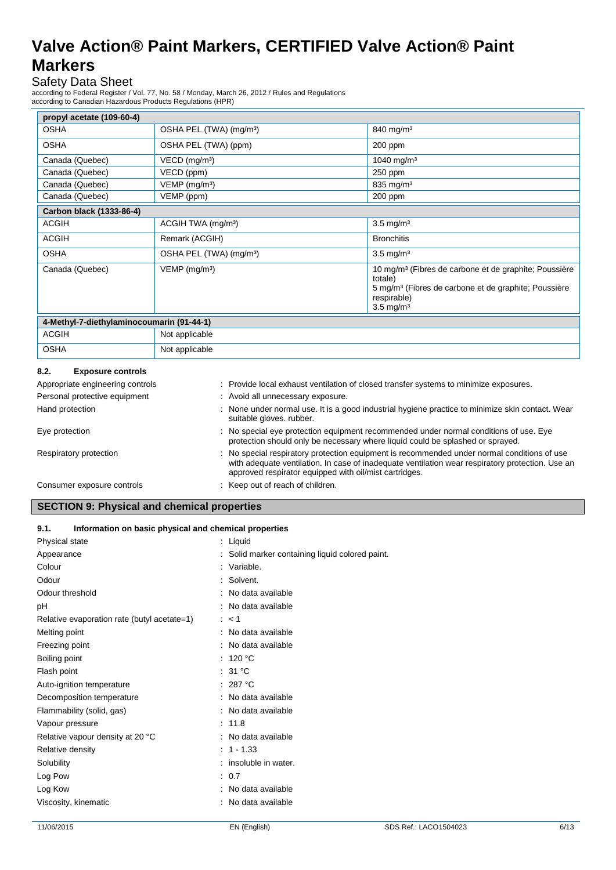### Safety Data Sheet

according to Federal Register / Vol. 77, No. 58 / Monday, March 26, 2012 / Rules and Regulations according to Canadian Hazardous Products Regulations (HPR)

| propyl acetate (109-60-4)                                                                                                                                                               |                                                                                                                            |                                                                                                                                                                                         |  |  |
|-----------------------------------------------------------------------------------------------------------------------------------------------------------------------------------------|----------------------------------------------------------------------------------------------------------------------------|-----------------------------------------------------------------------------------------------------------------------------------------------------------------------------------------|--|--|
| <b>OSHA</b>                                                                                                                                                                             | OSHA PEL (TWA) (mg/m <sup>3</sup> )                                                                                        | $840$ mg/m <sup>3</sup>                                                                                                                                                                 |  |  |
| <b>OSHA</b>                                                                                                                                                                             | OSHA PEL (TWA) (ppm)                                                                                                       | 200 ppm                                                                                                                                                                                 |  |  |
| Canada (Quebec)                                                                                                                                                                         | $VECD$ (mg/m <sup>3</sup> )                                                                                                | 1040 mg/m <sup>3</sup>                                                                                                                                                                  |  |  |
| Canada (Quebec)                                                                                                                                                                         | VECD (ppm)                                                                                                                 | 250 ppm                                                                                                                                                                                 |  |  |
| Canada (Quebec)                                                                                                                                                                         | $VEMP$ (mg/m <sup>3</sup> )                                                                                                | $835$ mg/m <sup>3</sup>                                                                                                                                                                 |  |  |
| Canada (Quebec)                                                                                                                                                                         | VEMP (ppm)                                                                                                                 | $200$ ppm                                                                                                                                                                               |  |  |
| Carbon black (1333-86-4)                                                                                                                                                                |                                                                                                                            |                                                                                                                                                                                         |  |  |
| <b>ACGIH</b>                                                                                                                                                                            | ACGIH TWA (mg/m <sup>3</sup> )                                                                                             | $3.5 \text{ mg/m}^3$                                                                                                                                                                    |  |  |
| <b>ACGIH</b>                                                                                                                                                                            | Remark (ACGIH)                                                                                                             | <b>Bronchitis</b>                                                                                                                                                                       |  |  |
| <b>OSHA</b>                                                                                                                                                                             | OSHA PEL (TWA) (mg/m <sup>3</sup> )                                                                                        | $3.5 \text{ mg/m}^3$                                                                                                                                                                    |  |  |
| Canada (Quebec)                                                                                                                                                                         | $VEMP$ (mg/m <sup>3</sup> )                                                                                                | 10 mg/m <sup>3</sup> (Fibres de carbone et de graphite; Poussière<br>totale)<br>5 mg/m <sup>3</sup> (Fibres de carbone et de graphite; Poussière<br>respirable)<br>$3.5 \text{ mg/m}^3$ |  |  |
| 4-Methyl-7-diethylaminocoumarin (91-44-1)                                                                                                                                               |                                                                                                                            |                                                                                                                                                                                         |  |  |
| <b>ACGIH</b>                                                                                                                                                                            | Not applicable                                                                                                             |                                                                                                                                                                                         |  |  |
| <b>OSHA</b>                                                                                                                                                                             | Not applicable                                                                                                             |                                                                                                                                                                                         |  |  |
| 8.2.<br><b>Exposure controls</b>                                                                                                                                                        |                                                                                                                            |                                                                                                                                                                                         |  |  |
| Appropriate engineering controls                                                                                                                                                        |                                                                                                                            | Provide local exhaust ventilation of closed transfer systems to minimize exposures.                                                                                                     |  |  |
| Personal protective equipment<br>: Avoid all unnecessary exposure.                                                                                                                      |                                                                                                                            |                                                                                                                                                                                         |  |  |
| Hand protection                                                                                                                                                                         | None under normal use. It is a good industrial hygiene practice to minimize skin contact. Wear<br>suitable gloves. rubber. |                                                                                                                                                                                         |  |  |
| No special eye protection equipment recommended under normal conditions of use. Eye<br>Eye protection<br>protection should only be necessary where liquid could be splashed or sprayed. |                                                                                                                            |                                                                                                                                                                                         |  |  |

| Respiratory protection | No special respiratory protection equipment is recommended under normal conditions of use        |
|------------------------|--------------------------------------------------------------------------------------------------|
|                        | with adequate ventilation. In case of inadequate ventilation wear respiratory protection. Use an |
|                        | approved respirator equipped with oil/mist cartridges.                                           |

Consumer exposure controls : Keep out of reach of children.

### **SECTION 9: Physical and chemical properties**

### **9.1. Information on basic physical and chemical properties**

| Physical state                              | : Liquid                                        |
|---------------------------------------------|-------------------------------------------------|
| Appearance                                  | : Solid marker containing liquid colored paint. |
| Colour                                      | : Variable.                                     |
| Odour                                       | : Solvent.                                      |
| Odour threshold                             | : No data available                             |
| рH                                          | : No data available                             |
| Relative evaporation rate (butyl acetate=1) | : < 1                                           |
| Melting point                               | : No data available                             |
| Freezing point                              | : No data available                             |
| Boiling point                               | : 120 $^{\circ}$ C                              |
| Flash point                                 | : 31 $^{\circ}$ C                               |
| Auto-ignition temperature                   | : 287 °C                                        |
| Decomposition temperature                   | : No data available                             |
| Flammability (solid, gas)                   | : No data available                             |
| Vapour pressure                             | : 11.8                                          |
| Relative vapour density at 20 °C            | : No data available                             |
| Relative density                            | $1 - 1.33$                                      |
| Solubility                                  | : insoluble in water.                           |
| Log Pow                                     | : 0.7                                           |
| Log Kow                                     | : No data available                             |
| Viscosity, kinematic                        | : No data available                             |
|                                             |                                                 |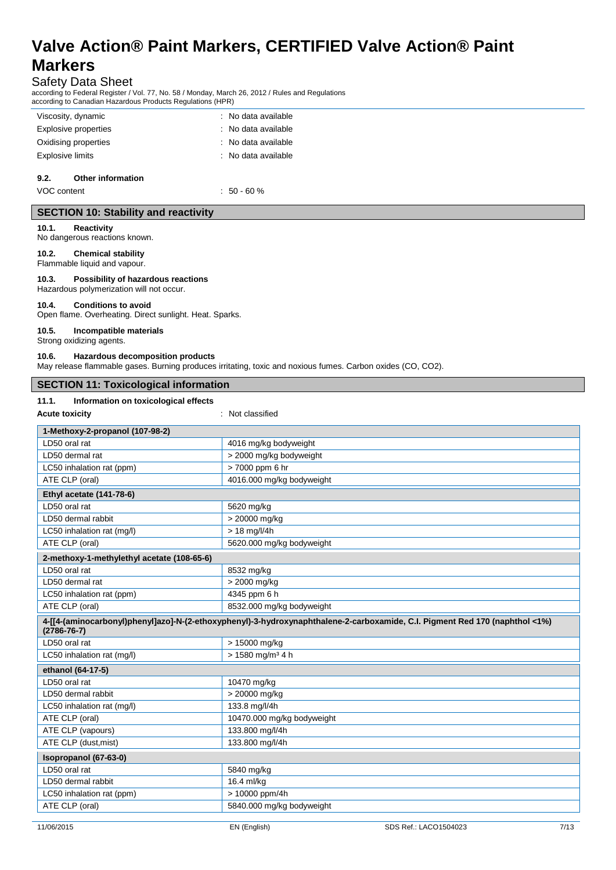### Safety Data Sheet

according to Federal Register / Vol. 77, No. 58 / Monday, March 26, 2012 / Rules and Regulations according to Canadian Hazardous Products Regulations (HPR)

| Viscosity, dynamic        | : No data available |
|---------------------------|---------------------|
| Explosive properties      | : No data available |
| Oxidising properties      | : No data available |
| Explosive limits          | : No data available |
| 9.2.<br>Other information |                     |
|                           |                     |

VOC content  $\sim$  50 - 60 %

### **SECTION 10: Stability and reactivity**

**10.1. Reactivity**

No dangerous reactions known.

**10.2. Chemical stability** Flammable liquid and vapour.

**10.3. Possibility of hazardous reactions** Hazardous polymerization will not occur.

### **10.4. Conditions to avoid**

Open flame. Overheating. Direct sunlight. Heat. Sparks.

### **10.5. Incompatible materials**

Strong oxidizing agents.

### **10.6. Hazardous decomposition products**

May release flammable gases. Burning produces irritating, toxic and noxious fumes. Carbon oxides (CO, CO2).

| <b>SECTION 11: Toxicological information</b>  |                       |
|-----------------------------------------------|-----------------------|
| Information on toxicological effects<br>11.1. |                       |
| <b>Acute toxicity</b>                         | : Not classified      |
| 1-Methoxy-2-propanol (107-98-2)               |                       |
| LD50 oral rat                                 | 4016 mg/kg bodyweight |

| LD50 oral rat                              | 4016 mg/kg bodyweight                                                                                                       |
|--------------------------------------------|-----------------------------------------------------------------------------------------------------------------------------|
| LD50 dermal rat                            | > 2000 mg/kg bodyweight                                                                                                     |
| LC50 inhalation rat (ppm)                  | > 7000 ppm 6 hr                                                                                                             |
| ATE CLP (oral)                             | 4016.000 mg/kg bodyweight                                                                                                   |
| Ethyl acetate (141-78-6)                   |                                                                                                                             |
| LD50 oral rat                              | 5620 mg/kg                                                                                                                  |
| LD50 dermal rabbit                         | > 20000 mg/kg                                                                                                               |
| LC50 inhalation rat (mg/l)                 | $> 18$ mg/l/4h                                                                                                              |
| ATE CLP (oral)                             | 5620.000 mg/kg bodyweight                                                                                                   |
| 2-methoxy-1-methylethyl acetate (108-65-6) |                                                                                                                             |
| LD50 oral rat                              | 8532 mg/kg                                                                                                                  |
| LD50 dermal rat                            | > 2000 mg/kg                                                                                                                |
| LC50 inhalation rat (ppm)                  | 4345 ppm 6 h                                                                                                                |
| ATE CLP (oral)                             | 8532.000 mg/kg bodyweight                                                                                                   |
| $(2786 - 76 - 7)$                          | 4-[[4-(aminocarbonyl)phenyl]azo]-N-(2-ethoxyphenyl)-3-hydroxynaphthalene-2-carboxamide, C.I. Pigment Red 170 (naphthol <1%) |
| LD50 oral rat                              | > 15000 mg/kg                                                                                                               |
| LC50 inhalation rat (mg/l)                 | $> 1580$ mg/m <sup>3</sup> 4 h                                                                                              |
| ethanol (64-17-5)                          |                                                                                                                             |
| LD50 oral rat                              | 10470 mg/kg                                                                                                                 |
| LD50 dermal rabbit                         | > 20000 mg/kg                                                                                                               |
| LC50 inhalation rat (mg/l)                 | 133.8 mg/l/4h                                                                                                               |
| ATE CLP (oral)                             | 10470.000 mg/kg bodyweight                                                                                                  |
| ATE CLP (vapours)                          |                                                                                                                             |
|                                            | 133.800 mg/l/4h                                                                                                             |
| ATE CLP (dust, mist)                       | 133.800 mg/l/4h                                                                                                             |
| Isopropanol (67-63-0)                      |                                                                                                                             |
| LD50 oral rat                              | 5840 mg/kg                                                                                                                  |
| LD50 dermal rabbit                         | 16.4 ml/kg                                                                                                                  |
| LC50 inhalation rat (ppm)                  | > 10000 ppm/4h                                                                                                              |
| ATE CLP (oral)                             | 5840.000 mg/kg bodyweight                                                                                                   |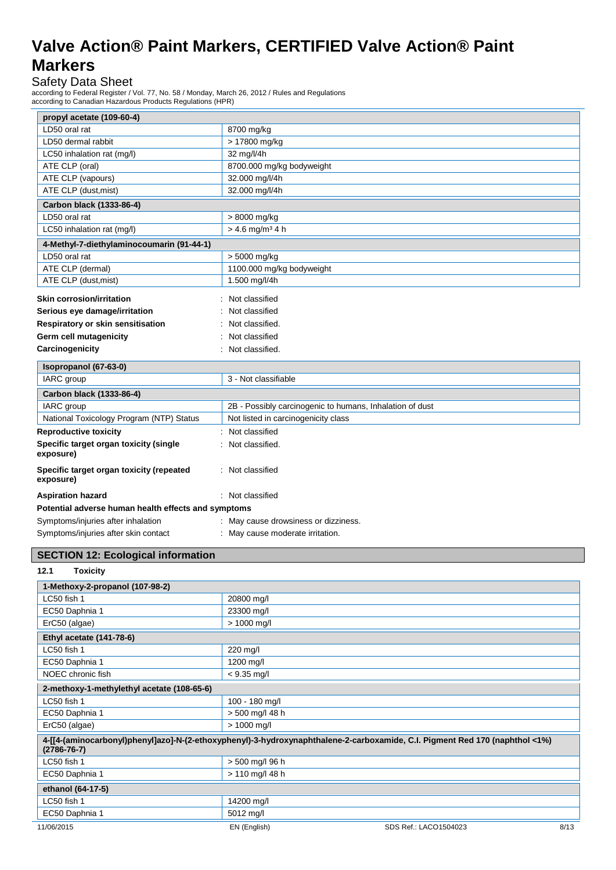Safety Data Sheet

according to Federal Register / Vol. 77, No. 58 / Monday, March 26, 2012 / Rules and Regulations according to Canadian Hazardous Products Regulations (HPR)

| propyl acetate (109-60-4)                             |                                                          |
|-------------------------------------------------------|----------------------------------------------------------|
| LD50 oral rat                                         | 8700 mg/kg                                               |
| LD50 dermal rabbit                                    | > 17800 mg/kg                                            |
| LC50 inhalation rat (mg/l)                            | 32 mg/l/4h                                               |
| ATE CLP (oral)                                        | 8700.000 mg/kg bodyweight                                |
| ATE CLP (vapours)                                     | 32.000 mg/l/4h                                           |
| ATE CLP (dust, mist)                                  | 32.000 mg/l/4h                                           |
| Carbon black (1333-86-4)                              |                                                          |
| LD50 oral rat                                         | > 8000 mg/kg                                             |
| LC50 inhalation rat (mq/l)                            | $> 4.6$ mg/m <sup>3</sup> 4 h                            |
| 4-Methyl-7-diethylaminocoumarin (91-44-1)             |                                                          |
| LD50 oral rat                                         | > 5000 mg/kg                                             |
| ATE CLP (dermal)                                      | 1100.000 mg/kg bodyweight                                |
| ATE CLP (dust, mist)                                  | 1.500 mg/l/4h                                            |
| <b>Skin corrosion/irritation</b>                      | Not classified                                           |
| Serious eye damage/irritation                         | Not classified                                           |
| Respiratory or skin sensitisation                     | Not classified.                                          |
| Germ cell mutagenicity                                | Not classified                                           |
| Carcinogenicity                                       | Not classified.                                          |
|                                                       |                                                          |
| Isopropanol (67-63-0)                                 |                                                          |
| IARC group                                            | 3 - Not classifiable                                     |
| Carbon black (1333-86-4)                              |                                                          |
| IARC group                                            | 2B - Possibly carcinogenic to humans, Inhalation of dust |
| National Toxicology Program (NTP) Status              | Not listed in carcinogenicity class                      |
| <b>Reproductive toxicity</b>                          | Not classified                                           |
| Specific target organ toxicity (single<br>exposure)   | Not classified.                                          |
| Specific target organ toxicity (repeated<br>exposure) | : Not classified                                         |
| <b>Aspiration hazard</b>                              | : Not classified                                         |
| Potential adverse human health effects and symptoms   |                                                          |
| Symptoms/injuries after inhalation                    | : May cause drowsiness or dizziness.                     |
| Symptoms/injuries after skin contact                  | : May cause moderate irritation.                         |

### **SECTION 12: Ecological information**

### **12.1 Toxicity**

| 1-Methoxy-2-propanol (107-98-2)            |                                                                                                                             |
|--------------------------------------------|-----------------------------------------------------------------------------------------------------------------------------|
| LC50 fish 1                                | 20800 mg/l                                                                                                                  |
| EC50 Daphnia 1                             | 23300 mg/l                                                                                                                  |
| ErC50 (algae)                              | > 1000 mg/l                                                                                                                 |
| Ethyl acetate (141-78-6)                   |                                                                                                                             |
| LC50 fish 1                                | 220 mg/l                                                                                                                    |
| EC50 Daphnia 1                             | 1200 mg/l                                                                                                                   |
| NOEC chronic fish                          | $< 9.35$ mg/l                                                                                                               |
| 2-methoxy-1-methylethyl acetate (108-65-6) |                                                                                                                             |
| LC50 fish 1                                | 100 - 180 mg/l                                                                                                              |
| EC50 Daphnia 1                             | > 500 mg/l 48 h                                                                                                             |
| ErC50 (algae)                              | $> 1000$ mg/l                                                                                                               |
| $(2786 - 76 - 7)$                          | 4-[[4-(aminocarbonyl)phenyl]azo]-N-(2-ethoxyphenyl)-3-hydroxynaphthalene-2-carboxamide, C.I. Pigment Red 170 (naphthol <1%) |
| LC50 fish 1                                | > 500 mg/l 96 h                                                                                                             |
| EC50 Daphnia 1                             | > 110 mg/l 48 h                                                                                                             |
| ethanol (64-17-5)                          |                                                                                                                             |
| LC50 fish 1                                | 14200 mg/l                                                                                                                  |
| EC50 Daphnia 1                             | 5012 mg/l                                                                                                                   |
| 11/06/2015                                 | EN (English)<br>8/13<br>SDS Ref.: LACO1504023                                                                               |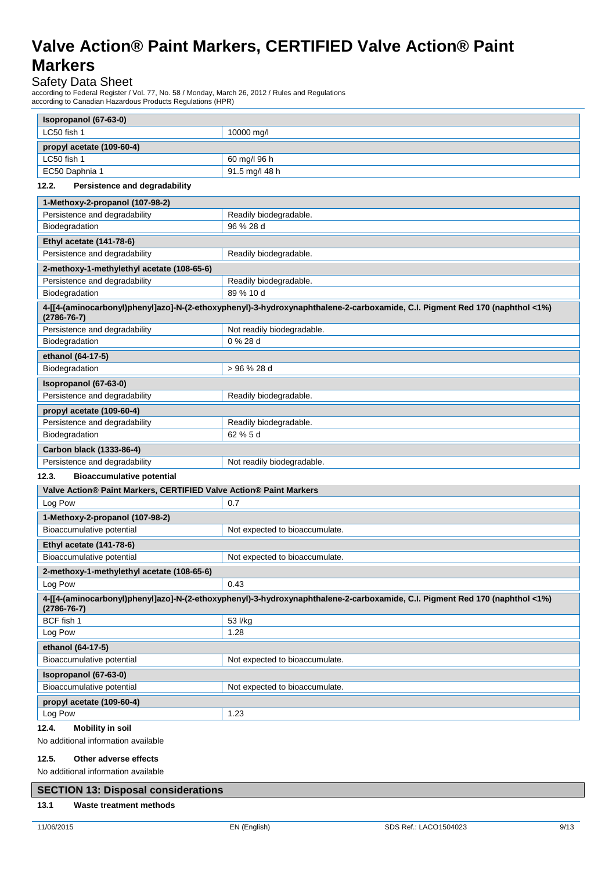# Safety Data Sheet

according to Federal Register / Vol. 77, No. 58 / Monday, March 26, 2012 / Rules and Regulations according to Canadian Hazardous Products Regulations (HPR)

| Isopropanol (67-63-0)                                              |                                                                                                                             |
|--------------------------------------------------------------------|-----------------------------------------------------------------------------------------------------------------------------|
| LC50 fish 1                                                        | 10000 mg/l                                                                                                                  |
| propyl acetate (109-60-4)                                          |                                                                                                                             |
| LC50 fish 1                                                        | 60 mg/l 96 h                                                                                                                |
| EC50 Daphnia 1                                                     | 91.5 mg/l 48 h                                                                                                              |
| Persistence and degradability<br>12.2.                             |                                                                                                                             |
| 1-Methoxy-2-propanol (107-98-2)                                    |                                                                                                                             |
| Persistence and degradability                                      | Readily biodegradable.                                                                                                      |
| Biodegradation                                                     | 96 % 28 d                                                                                                                   |
| Ethyl acetate (141-78-6)                                           |                                                                                                                             |
| Persistence and degradability                                      | Readily biodegradable.                                                                                                      |
| 2-methoxy-1-methylethyl acetate (108-65-6)                         |                                                                                                                             |
| Persistence and degradability                                      | Readily biodegradable.                                                                                                      |
| Biodegradation                                                     | 89 % 10 d                                                                                                                   |
| $(2786 - 76 - 7)$                                                  | 4-[[4-(aminocarbonyl)phenyl]azo]-N-(2-ethoxyphenyl)-3-hydroxynaphthalene-2-carboxamide, C.I. Pigment Red 170 (naphthol <1%) |
| Persistence and degradability                                      | Not readily biodegradable.                                                                                                  |
| Biodegradation                                                     | 0 % 28 d                                                                                                                    |
| ethanol (64-17-5)                                                  |                                                                                                                             |
| Biodegradation                                                     | > 96 % 28 d                                                                                                                 |
| Isopropanol (67-63-0)                                              |                                                                                                                             |
| Persistence and degradability                                      | Readily biodegradable.                                                                                                      |
| propyl acetate (109-60-4)                                          |                                                                                                                             |
| Persistence and degradability                                      | Readily biodegradable.                                                                                                      |
| Biodegradation                                                     | 62 % 5 d                                                                                                                    |
| Carbon black (1333-86-4)                                           |                                                                                                                             |
| Persistence and degradability                                      | Not readily biodegradable.                                                                                                  |
| <b>Bioaccumulative potential</b><br>12.3.                          |                                                                                                                             |
| Valve Action® Paint Markers, CERTIFIED Valve Action® Paint Markers |                                                                                                                             |
| Log Pow                                                            | 0.7                                                                                                                         |
| 1-Methoxy-2-propanol (107-98-2)                                    |                                                                                                                             |
| Bioaccumulative potential                                          | Not expected to bioaccumulate.                                                                                              |
| Ethyl acetate (141-78-6)                                           |                                                                                                                             |
| Bioaccumulative potential                                          | Not expected to bioaccumulate.                                                                                              |
| 2-methoxy-1-methylethyl acetate (108-65-6)                         |                                                                                                                             |
| Log Pow                                                            | 0.43                                                                                                                        |
| $(2786 - 76 - 7)$                                                  | 4-[[4-(aminocarbonyl)phenyl]azo]-N-(2-ethoxyphenyl)-3-hydroxynaphthalene-2-carboxamide, C.I. Pigment Red 170 (naphthol <1%) |
| BCF fish 1                                                         | 53 l/kg                                                                                                                     |
| Log Pow                                                            | 1.28                                                                                                                        |
| ethanol (64-17-5)                                                  |                                                                                                                             |
| Bioaccumulative potential                                          | Not expected to bioaccumulate.                                                                                              |
| Isopropanol (67-63-0)                                              |                                                                                                                             |
| Bioaccumulative potential                                          | Not expected to bioaccumulate.                                                                                              |
| propyl acetate (109-60-4)                                          |                                                                                                                             |
| Log Pow                                                            | 1.23                                                                                                                        |
| 12.4.<br><b>Mobility in soil</b>                                   |                                                                                                                             |
| No additional information available                                |                                                                                                                             |
| 12.5.<br>Other adverse effects                                     |                                                                                                                             |

No additional information available

### **SECTION 13: Disposal considerations**

#### **13.1 Waste treatment methods**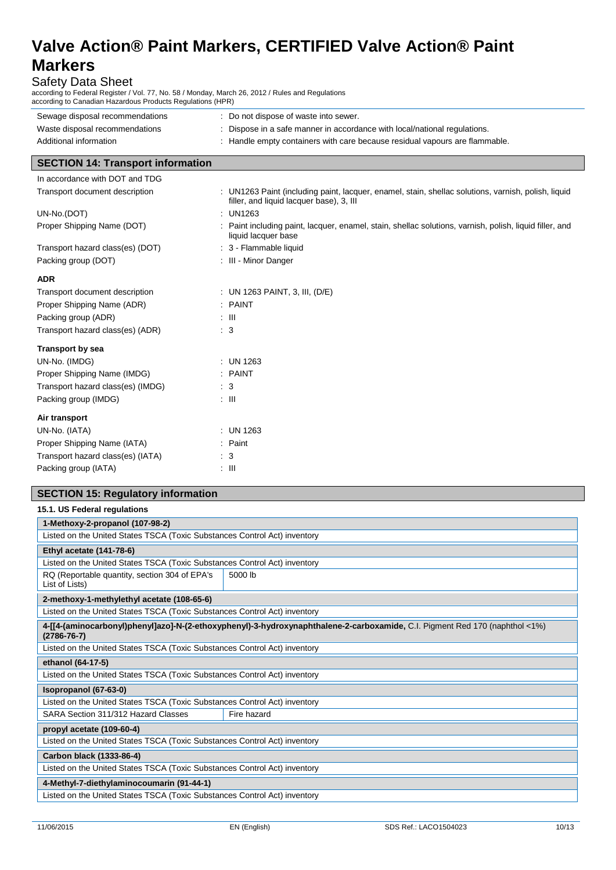Safety Data Sheet

according to Federal Register / Vol. 77, No. 58 / Monday, March 26, 2012 / Rules and Regulations according to Canadian Hazardous Products Regulations (HPR)

| Sewage disposal recommendations<br>Waste disposal recommendations<br>Additional information | : Do not dispose of waste into sewer.<br>: Dispose in a safe manner in accordance with local/national regulations.<br>: Handle empty containers with care because residual vapours are flammable. |
|---------------------------------------------------------------------------------------------|---------------------------------------------------------------------------------------------------------------------------------------------------------------------------------------------------|
| <b>SECTION 14: Transport information</b>                                                    |                                                                                                                                                                                                   |
| In accordance with DOT and TDG                                                              |                                                                                                                                                                                                   |
| Transport document description                                                              | : UN1263 Paint (including paint, lacquer, enamel, stain, shellac solutions, varnish, polish, liquid<br>filler, and liquid lacquer base), 3, III                                                   |
| UN-No.(DOT)                                                                                 | : UN1263                                                                                                                                                                                          |
| Proper Shipping Name (DOT)                                                                  | : Paint including paint, lacquer, enamel, stain, shellac solutions, varnish, polish, liquid filler, and<br>liquid lacquer base                                                                    |
| Transport hazard class(es) (DOT)                                                            | : 3 - Flammable liquid                                                                                                                                                                            |
| Packing group (DOT)                                                                         | : III - Minor Danger                                                                                                                                                                              |
| <b>ADR</b>                                                                                  |                                                                                                                                                                                                   |
| Transport document description                                                              | : UN 1263 PAINT, 3, III, (D/E)                                                                                                                                                                    |
| Proper Shipping Name (ADR)                                                                  | $:$ PAINT                                                                                                                                                                                         |
| Packing group (ADR)                                                                         | : III                                                                                                                                                                                             |
| Transport hazard class(es) (ADR)                                                            | $\therefore$ 3                                                                                                                                                                                    |

| <b>Transport by sea</b> |  |
|-------------------------|--|
|-------------------------|--|

| : UN 1263          |
|--------------------|
| $:$ PAINT          |
| : 3                |
| : III              |
|                    |
| $:$ UN 1263        |
| $\therefore$ Paint |
| : 3                |
| : III              |
|                    |

# **SECTION 15: Regulatory information**

| 15.1. US Federal regulations                                              |                                                                                                                             |
|---------------------------------------------------------------------------|-----------------------------------------------------------------------------------------------------------------------------|
| 1-Methoxy-2-propanol (107-98-2)                                           |                                                                                                                             |
| Listed on the United States TSCA (Toxic Substances Control Act) inventory |                                                                                                                             |
| Ethyl acetate (141-78-6)                                                  |                                                                                                                             |
| Listed on the United States TSCA (Toxic Substances Control Act) inventory |                                                                                                                             |
| RQ (Reportable quantity, section 304 of EPA's<br>List of Lists)           | 5000 lb                                                                                                                     |
| 2-methoxy-1-methylethyl acetate (108-65-6)                                |                                                                                                                             |
| Listed on the United States TSCA (Toxic Substances Control Act) inventory |                                                                                                                             |
| $(2786 - 76 - 7)$                                                         | 4-[[4-(aminocarbonyl)phenyl]azo]-N-(2-ethoxyphenyl)-3-hydroxynaphthalene-2-carboxamide, C.I. Pigment Red 170 (naphthol <1%) |
| Listed on the United States TSCA (Toxic Substances Control Act) inventory |                                                                                                                             |
| ethanol (64-17-5)                                                         |                                                                                                                             |
| Listed on the United States TSCA (Toxic Substances Control Act) inventory |                                                                                                                             |
| Isopropanol (67-63-0)                                                     |                                                                                                                             |
|                                                                           |                                                                                                                             |
| Listed on the United States TSCA (Toxic Substances Control Act) inventory |                                                                                                                             |
| SARA Section 311/312 Hazard Classes                                       | Fire hazard                                                                                                                 |
| propyl acetate (109-60-4)                                                 |                                                                                                                             |
| Listed on the United States TSCA (Toxic Substances Control Act) inventory |                                                                                                                             |
| Carbon black (1333-86-4)                                                  |                                                                                                                             |
| Listed on the United States TSCA (Toxic Substances Control Act) inventory |                                                                                                                             |
| 4-Methyl-7-diethylaminocoumarin (91-44-1)                                 |                                                                                                                             |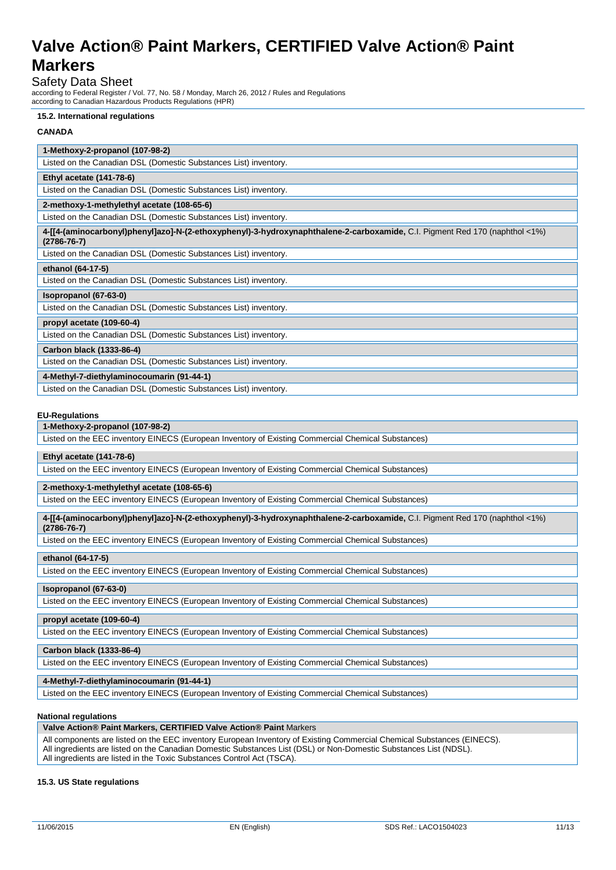### Safety Data Sheet

according to Federal Register / Vol. 77, No. 58 / Monday, March 26, 2012 / Rules and Regulations according to Canadian Hazardous Products Regulations (HPR)

#### **15.2. International regulations**

### **CANADA**

| 1-Methoxy-2-propanol (107-98-2)                                                                                                                  |
|--------------------------------------------------------------------------------------------------------------------------------------------------|
| Listed on the Canadian DSL (Domestic Substances List) inventory.                                                                                 |
| Ethyl acetate (141-78-6)                                                                                                                         |
| Listed on the Canadian DSL (Domestic Substances List) inventory.                                                                                 |
| 2-methoxy-1-methylethyl acetate (108-65-6)                                                                                                       |
| Listed on the Canadian DSL (Domestic Substances List) inventory.                                                                                 |
| 4-[[4-(aminocarbonyl)phenyl]azo]-N-(2-ethoxyphenyl)-3-hydroxynaphthalene-2-carboxamide, C.I. Pigment Red 170 (naphthol <1%)<br>$(2786 - 76 - 7)$ |
| Listed on the Canadian DSL (Domestic Substances List) inventory.                                                                                 |
| ethanol (64-17-5)                                                                                                                                |
| Listed on the Canadian DSL (Domestic Substances List) inventory.                                                                                 |
| Isopropanol (67-63-0)                                                                                                                            |
| Listed on the Canadian DSL (Domestic Substances List) inventory.                                                                                 |
| propyl acetate (109-60-4)                                                                                                                        |
| Listed on the Canadian DSL (Domestic Substances List) inventory.                                                                                 |
| Carbon black (1333-86-4)                                                                                                                         |
| Listed on the Canadian DSL (Domestic Substances List) inventory.                                                                                 |
| 4-Methyl-7-diethylaminocoumarin (91-44-1)                                                                                                        |
| Listed on the Canadian DSL (Domestic Substances List) inventory.                                                                                 |

#### **EU-Regulations**

### **1-Methoxy-2-propanol (107-98-2)**

Listed on the EEC inventory EINECS (European Inventory of Existing Commercial Chemical Substances)

### **Ethyl acetate (141-78-6)**

Listed on the EEC inventory EINECS (European Inventory of Existing Commercial Chemical Substances)

#### **2-methoxy-1-methylethyl acetate (108-65-6)**

Listed on the EEC inventory EINECS (European Inventory of Existing Commercial Chemical Substances)

**4-[[4-(aminocarbonyl)phenyl]azo]-N-(2-ethoxyphenyl)-3-hydroxynaphthalene-2-carboxamide,** C.I. Pigment Red 170 (naphthol <1%) **(2786-76-7)**

Listed on the EEC inventory EINECS (European Inventory of Existing Commercial Chemical Substances)

#### **ethanol (64-17-5)**

Listed on the EEC inventory EINECS (European Inventory of Existing Commercial Chemical Substances)

### **Isopropanol (67-63-0)**

Listed on the EEC inventory EINECS (European Inventory of Existing Commercial Chemical Substances)

### **propyl acetate (109-60-4)**

Listed on the EEC inventory EINECS (European Inventory of Existing Commercial Chemical Substances)

### **Carbon black (1333-86-4)**

Listed on the EEC inventory EINECS (European Inventory of Existing Commercial Chemical Substances)

### **4-Methyl-7-diethylaminocoumarin (91-44-1)**

Listed on the EEC inventory EINECS (European Inventory of Existing Commercial Chemical Substances)

### **National regulations**

### **Valve Action® Paint Markers, CERTIFIED Valve Action® Paint** Markers

All components are listed on the EEC inventory European Inventory of Existing Commercial Chemical Substances (EINECS). All ingredients are listed on the Canadian Domestic Substances List (DSL) or Non-Domestic Substances List (NDSL). All ingredients are listed in the Toxic Substances Control Act (TSCA).

### **15.3. US State regulations**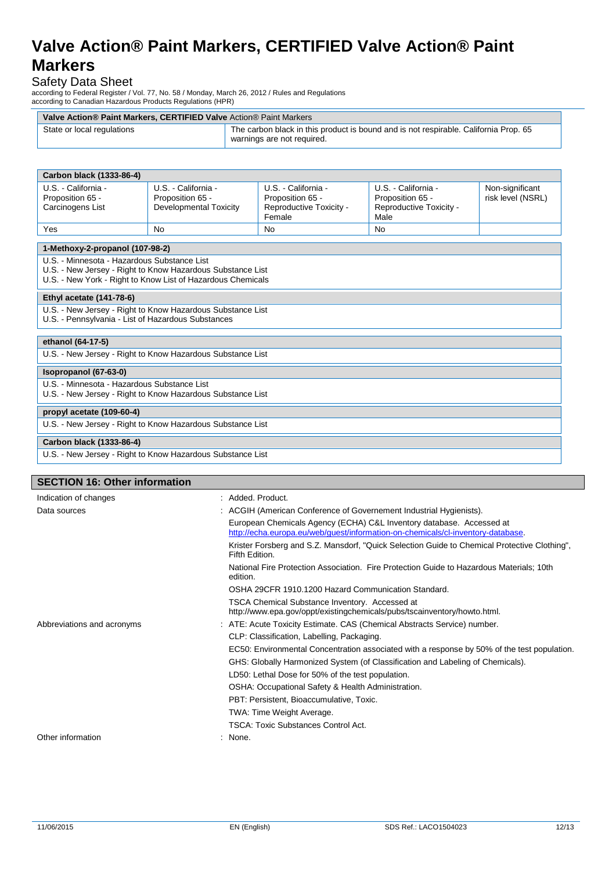# Safety Data Sheet

according to Federal Register / Vol. 77, No. 58 / Monday, March 26, 2012 / Rules and Regulations according to Canadian Hazardous Products Regulations (HPR)

| Valve Action® Paint Markers, CERTIFIED Valve Action® Paint Markers |                                                                                                                    |  |
|--------------------------------------------------------------------|--------------------------------------------------------------------------------------------------------------------|--|
| State or local regulations                                         | The carbon black in this product is bound and is not respirable. California Prop. 65<br>warnings are not required. |  |

| Carbon black (1333-86-4)                                                                                                                                                 |                                                                   |                                                                              |                                                                            |                                      |
|--------------------------------------------------------------------------------------------------------------------------------------------------------------------------|-------------------------------------------------------------------|------------------------------------------------------------------------------|----------------------------------------------------------------------------|--------------------------------------|
| U.S. - California -<br>Proposition 65 -<br>Carcinogens List                                                                                                              | U.S. - California -<br>Proposition 65 -<br>Developmental Toxicity | U.S. - California -<br>Proposition 65 -<br>Reproductive Toxicity -<br>Female | U.S. - California -<br>Proposition 65 -<br>Reproductive Toxicity -<br>Male | Non-significant<br>risk level (NSRL) |
| Yes                                                                                                                                                                      | <b>No</b>                                                         | <b>No</b>                                                                    | <b>No</b>                                                                  |                                      |
| 1-Methoxy-2-propanol (107-98-2)                                                                                                                                          |                                                                   |                                                                              |                                                                            |                                      |
| U.S. - Minnesota - Hazardous Substance List<br>U.S. - New Jersey - Right to Know Hazardous Substance List<br>U.S. - New York - Right to Know List of Hazardous Chemicals |                                                                   |                                                                              |                                                                            |                                      |
| Ethyl acetate (141-78-6)                                                                                                                                                 |                                                                   |                                                                              |                                                                            |                                      |
| U.S. - New Jersey - Right to Know Hazardous Substance List<br>U.S. - Pennsylvania - List of Hazardous Substances                                                         |                                                                   |                                                                              |                                                                            |                                      |
| ethanol (64-17-5)                                                                                                                                                        |                                                                   |                                                                              |                                                                            |                                      |
| U.S. - New Jersey - Right to Know Hazardous Substance List                                                                                                               |                                                                   |                                                                              |                                                                            |                                      |
| Isopropanol (67-63-0)                                                                                                                                                    |                                                                   |                                                                              |                                                                            |                                      |
| U.S. - Minnesota - Hazardous Substance List<br>U.S. - New Jersey - Right to Know Hazardous Substance List                                                                |                                                                   |                                                                              |                                                                            |                                      |
| propyl acetate (109-60-4)                                                                                                                                                |                                                                   |                                                                              |                                                                            |                                      |
| U.S. - New Jersey - Right to Know Hazardous Substance List                                                                                                               |                                                                   |                                                                              |                                                                            |                                      |
| Carbon black (1333-86-4)                                                                                                                                                 |                                                                   |                                                                              |                                                                            |                                      |
| U.S. - New Jersey - Right to Know Hazardous Substance List                                                                                                               |                                                                   |                                                                              |                                                                            |                                      |
|                                                                                                                                                                          |                                                                   |                                                                              |                                                                            |                                      |
| <b>SECTION 16: Other information</b>                                                                                                                                     |                                                                   |                                                                              |                                                                            |                                      |

| <b>SECTION 16: Other information</b> |                                                                                                                                                         |
|--------------------------------------|---------------------------------------------------------------------------------------------------------------------------------------------------------|
| Indication of changes                | : Added. Product.                                                                                                                                       |
| Data sources                         | : ACGIH (American Conference of Governement Industrial Hygienists).                                                                                     |
|                                      | European Chemicals Agency (ECHA) C&L Inventory database. Accessed at<br>http://echa.europa.eu/web/guest/information-on-chemicals/cl-inventory-database. |
|                                      | Krister Forsberg and S.Z. Mansdorf, "Quick Selection Guide to Chemical Protective Clothing",<br>Fifth Edition.                                          |
|                                      | National Fire Protection Association. Fire Protection Guide to Hazardous Materials: 10th<br>edition.                                                    |
|                                      | OSHA 29CFR 1910.1200 Hazard Communication Standard.                                                                                                     |
|                                      | TSCA Chemical Substance Inventory. Accessed at<br>http://www.epa.gov/oppt/existingchemicals/pubs/tscainventory/howto.html.                              |
| Abbreviations and acronyms           | : ATE: Acute Toxicity Estimate. CAS (Chemical Abstracts Service) number.                                                                                |
|                                      | CLP: Classification, Labelling, Packaging.                                                                                                              |
|                                      | EC50: Environmental Concentration associated with a response by 50% of the test population.                                                             |
|                                      | GHS: Globally Harmonized System (of Classification and Labeling of Chemicals).                                                                          |
|                                      | LD50: Lethal Dose for 50% of the test population.                                                                                                       |
|                                      | OSHA: Occupational Safety & Health Administration.                                                                                                      |
|                                      | PBT: Persistent, Bioaccumulative, Toxic.                                                                                                                |
|                                      | TWA: Time Weight Average.                                                                                                                               |
|                                      | TSCA: Toxic Substances Control Act.                                                                                                                     |
| Other information                    | : None.                                                                                                                                                 |